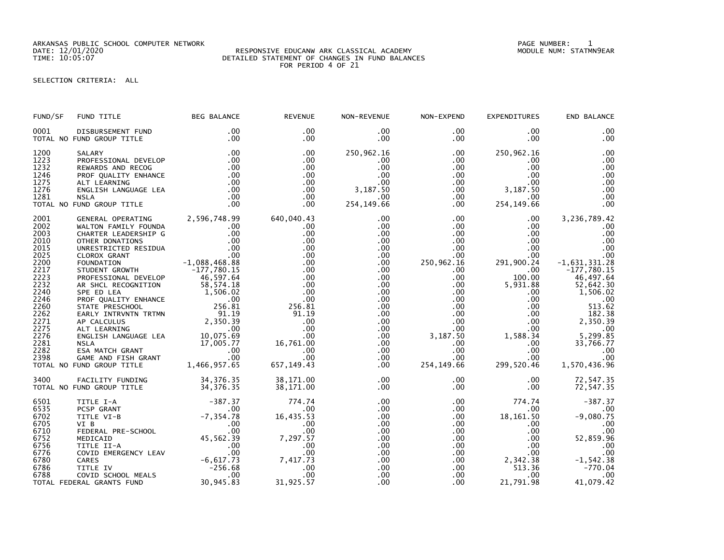ARKANSAS PUBLIC SCHOOL COMPUTER NETWORK PAGE NUMBER: 1

## DATE: 12/01/2020 RESPONSIVE EDUCANW ARK CLASSICAL ACADEMY MODULE NUM: STATMN9EAR TIME: 10:05:07 DETAILED STATEMENT OF CHANGES IN FUND BALANCES FOR PERIOD 4 OF 21

## SELECTION CRITERIA: ALL

| END BALANCE                                                                                                                                                                           | <b>EXPENDITURES</b>                                                                                                                                                                                                                                                                                                                                | NON-EXPEND                                                                                                                                          | NON-REVENUE                                                                                                                                                                                                  | <b>REVENUE</b>                                                                                                                                                          | <b>BEG BALANCE</b>                                                                                                    | FUND TITLE                                                                                                                                                                                                                                                                                                                                                                                                                                                          | FUND/SF                                                                                                                                                      |
|---------------------------------------------------------------------------------------------------------------------------------------------------------------------------------------|----------------------------------------------------------------------------------------------------------------------------------------------------------------------------------------------------------------------------------------------------------------------------------------------------------------------------------------------------|-----------------------------------------------------------------------------------------------------------------------------------------------------|--------------------------------------------------------------------------------------------------------------------------------------------------------------------------------------------------------------|-------------------------------------------------------------------------------------------------------------------------------------------------------------------------|-----------------------------------------------------------------------------------------------------------------------|---------------------------------------------------------------------------------------------------------------------------------------------------------------------------------------------------------------------------------------------------------------------------------------------------------------------------------------------------------------------------------------------------------------------------------------------------------------------|--------------------------------------------------------------------------------------------------------------------------------------------------------------|
| .00<br>.00                                                                                                                                                                            | $.00 \,$<br>$.00 \,$                                                                                                                                                                                                                                                                                                                               | $.00 \,$<br>$.00 \,$                                                                                                                                | $.00 \,$<br>$.00 \,$                                                                                                                                                                                         | $.00 \,$<br>$.00 \times$                                                                                                                                                | .00<br>.00                                                                                                            | DISBURSEMENT FUND<br>TOTAL NO FUND GROUP TITLE                                                                                                                                                                                                                                                                                                                                                                                                                      | 0001                                                                                                                                                         |
| .00<br>.00<br>.00<br>.00<br>.00<br>.00<br>.00<br>.00                                                                                                                                  | 250,962.16<br>.00<br>$.00 \,$<br>$.00 \cdot$<br>$.00 \,$<br>$.00$ 3, 187.50<br>$.00 \,$<br>254, 149.66                                                                                                                                                                                                                                             | $.00 \,$<br>$.00 \,$<br>$.00 \,$<br>$.00\,$<br>.00<br>$.00\,$<br>$.00 \,$                                                                           | 250,962.16<br>$.00 \,$<br>.00<br>.00<br>.00<br>3,187.50<br>.00<br>254, 149.66                                                                                                                                | .00<br>$.00 \,$<br>.00<br>.00.<br>$.00 \,$<br>$.00 \,$<br>.00<br>.00                                                                                                    | .00<br>.00<br>.00<br>$\begin{array}{c} 00 \\ 00 \end{array}$<br>.00<br>$\frac{100}{100}$<br>.00<br>.00                | SALARY<br>PROFESSIONAL DEVELOP<br>REWARDS AND RECOG<br>PROF QUALITY ENHANCE<br>ALT LEARNING<br>ENGLISH LANGUAGE LEA<br><b>NSLA</b><br>TOTAL NO FUND GROUP TITLE                                                                                                                                                                                                                                                                                                     | 1200<br>1223<br>1232<br>1246<br>1275<br>1276<br>1281                                                                                                         |
| 3,236,789.42<br>.00<br>.00<br>.00<br>.00<br>.00<br>$-1,631,331.28$<br>$-177,780.15$<br>46,497.64<br>52,642.30<br>1,506.02<br>.00<br>513.62<br>33,766.77<br>.00<br>.00<br>1,570,436.96 | $.00 \,$<br>$.00 \ \,$<br>$.00 \,$<br>$.00 \cdot$<br>$.00 \,$<br>$.00\,$<br>291,900.24<br>$.00 \,$<br>100.00<br>5,931.88<br>$.00\,$<br>$.00\,$<br>.00<br>$3,187.50$<br>$3,187.50$<br>$3,187.50$<br>$3,187.50$<br>$3,187.50$<br>$3,187.50$<br>$3,187.50$<br>$3,187.50$<br>$3,187.50$<br>$3,187.50$<br>$3,187.50$<br>$3,187.50$<br>.00<br>.00<br>.00 | $.00 \,$<br>$.00 \,$<br>$.00\,$<br>.00<br>$.00\,$<br>.00<br>250,962.16<br>$.00 \,$<br>$.00 \,$<br>.00<br>$.00\,$<br>.00<br>.00<br>.00<br>.00<br>.00 | .00<br>.00<br>.00<br>.00<br>$.00 \,$<br>$.00 \,$<br>$.00 \,$<br>.00<br>.00<br>$.00 \,$<br>$.00 \,$<br>$.00 \,$<br>.00<br>.00 <sub>1</sub><br>$.00 \,$<br>$.00 \,$<br>$.00 \,$<br>.00<br>$.00 \,$<br>$.00 \,$ | 640,040.43<br>$.00 \,$<br>.00<br>.00<br>.00<br>.00<br>.00<br>.00<br>.00<br>.00<br>.00<br>.00<br>256.81<br>91.19<br>.00<br>.00<br>$16,761.00$<br>16,761.00<br>.00<br>.00 | 2,596,748.99<br>$.00 \,$<br>$.00$<br>$.00$<br>$.00$<br>46,597.64<br>58, 574.18<br>$1,506.02$<br>00<br>256.81<br>91.19 | GENERAL OPERATING<br>WALTON FAMILY FOUNDA<br>CHARTER LEADERSHIP G<br>OTHER DONATIONS<br>UNRESTRICTED RESIDUA<br>CLOROX GRANT .00<br>FOUNDATION -1,088,468.88<br>STUDENT GROWTH -177,780.15<br>PROFESSTONAL BEVELOR -177,780.15<br>PROFESSIONAL DEVELOP<br>AR SHCL RECOGNITION<br>SPE ED LEA<br>PROF QUALITY ENHANCE<br>STATE PRESCHOOL                                                                                                                              | 2001<br>2002<br>2003<br>2010<br>2015<br>2025<br>2200<br>2217<br>2223<br>2232<br>2240<br>2246<br>2260<br>2262<br>2271<br>2275<br>2276<br>2281<br>2282<br>2398 |
| 72,547.35<br>72,547.35                                                                                                                                                                | $.00 \,$<br>$.00 \,$                                                                                                                                                                                                                                                                                                                               | $.00 \,$<br>.00 <sub>1</sub>                                                                                                                        | $.00 \,$<br>.00                                                                                                                                                                                              | 38,171.00<br>38,171.00                                                                                                                                                  | 34, 376. 35                                                                                                           | FACILITY FUNDING 34,376.35<br>TOTAL NO FUND GROUP TITLE                                                                                                                                                                                                                                                                                                                                                                                                             | 3400                                                                                                                                                         |
| $-387.37$<br>.00<br>$-9,080.75$<br>.00<br>.00<br>52,859.96<br>.00<br>.00<br>$-1, 542.38$<br>$-770.04$<br>.00<br>41,079.42                                                             | 774.74<br>.00<br>18,161.50<br>$.00 \,$<br>$.00 \,$<br>$.00 \,$<br>$.00 \,$<br>2,342.38<br>$.00 \,$                                                                                                                                                                                                                                                 | $.00\,$<br>$.00\,$<br>$.00\,$<br>$.00 \,$<br>.00<br>.00<br>.00<br>$.00\,$<br>$.00\,$<br>$.00\,$<br>$.00 \,$                                         | $.00 \,$<br>$.00 \,$<br>.00<br>$.00 \,$<br>$.00 \,$<br>$.00 \,$<br>.00<br>$.00 \,$<br>.00<br>$.00 \,$<br>.00                                                                                                 | 774.74<br>$.00 \,$<br>16,435.53<br>.00<br>.00<br>$7,297.\overline{57}$<br>.00<br>.00<br>7,417.73<br>.00<br>.00                                                          | $-387.37$<br>$.00 \,$                                                                                                 | TITLE I-A<br>PCSP GRANT<br>00<br>TITLE VI-B<br>VI B<br>VI B<br>PEDERAL PRE-SCHOOL 00<br>MEDICAID 45,562.39<br>TITLE II-A 00                                                                                                                                                                                                                                                                                                                                         | 6501<br>6535<br>6702<br>6705<br>6710<br>6752<br>6756<br>6776<br>6780<br>6786<br>6788                                                                         |
|                                                                                                                                                                                       | 299,520.46<br>21,791.98                                                                                                                                                                                                                                                                                                                            | 254, 149. 66<br>$.00 \,$                                                                                                                            | $.00 \,$<br>.00                                                                                                                                                                                              | 657, 149.43<br>31,925.57                                                                                                                                                | 30,945.83                                                                                                             | STATE PRESSURED THE CONTROLLER<br>AP CALCULUS 2,350.39<br>ALT LEARNING 2,350.39<br>ALT LEARNING 2,350.39<br>ALT LEARNING 2,350.39<br>NSLA MATCH GRANT 17,005.77<br>ESA MATCH GRANT .00<br>GAME AND FISH GRANT .00<br>FUND GROUP TITLE 1,466,95<br>TOTAL NO FUND GROUP TITLE<br>FITLE II-A<br>COVID EMERGENCY LEAV<br>CARES<br>CARES<br>TITLE IV -256.68<br>COVID SCHOOL MEALS<br>COVID SCHOOL MEALS<br>20.045.00<br>COVID SCHOOL MEALS<br>TOTAL FEDERAL GRANTS FUND |                                                                                                                                                              |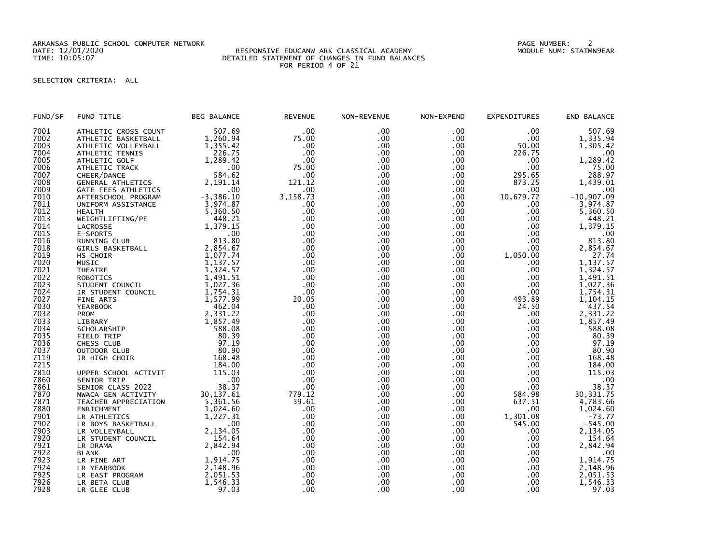ARKANSAS PUBLIC SCHOOL COMPUTER NETWORK PAGE NUMBER: 2

## DATE: 12/01/2020 RESPONSIVE EDUCANW ARK CLASSICAL ACADEMY MODULE NUM: STATMN9EAR TIME: 10:05:07 DETAILED STATEMENT OF CHANGES IN FUND BALANCES FOR PERIOD 4 OF 21

## SELECTION CRITERIA: ALL

| FUND/SF | FUND TITLE           | <b>BEG BALANCE</b>      | <b>REVENUE</b> | NON-REVENUE | NON-EXPEND | <b>EXPENDITURES</b> | END BALANCE                |
|---------|----------------------|-------------------------|----------------|-------------|------------|---------------------|----------------------------|
| 7001    | ATHLETIC CROSS COUNT | 507.69                  | .00            | .00         | .00        | .00                 | 507.69                     |
| 7002    | ATHLETIC BASKETBALL  | 1,260.94                | 75.00          | .00         | .00        | .00                 | 1,335.94                   |
| 7003    | ATHLETIC VOLLEYBALL  | 1,355.42                | .00            | .00.        | .00        | 50.00               | 1,305.42                   |
| 7004    | ATHLETIC TENNIS      | 226.75                  | .00            | .00         | .00        | 226.75              | .00                        |
| 7005    | ATHLETIC GOLF        | 1,289.42                | .00            | .00         | .00        | .00                 | 1,289.42                   |
| 7006    | ATHLETIC TRACK       | .00                     | 75.00          | .00         | .00        | .00                 | 75.00                      |
| 7007    | CHEER/DANCE          | 584.62                  | .00            | .00         | .00        | 295.65              | 288.97                     |
| 7008    | GENERAL ATHLETICS    | 2,191.14                | 121.12         | .00         | .00        | 873.25              | 1,439.01                   |
| 7009    | GATE FEES ATHLETICS  | .00                     | .00            | .00         | .00        | .00                 | .00                        |
| 7010    | AFTERSCHOOL PROGRAM  | $-3, 386.10$            | 3,158.73       | .00         | .00        | 10,679.72           | $-10,907.09$               |
| 7011    | UNIFORM ASSISTANCE   | 3,974.87                | .00            | .00         | .00        | .00                 | 3,974.87                   |
| 7012    | <b>HEALTH</b>        | 5,360.50                | .00            | .00         | .00        | .00                 | 5,360.50                   |
| 7013    | WEIGHTLIFTING/PE     | 448.21                  | .00            | .00         | .00        | .00                 | 448.21                     |
| 7014    | LACROSSE             | 1,379.15                | .00            | .00         | .00        | .00                 | 1,379.15                   |
| 7015    | E-SPORTS             | .00                     | .00            | .00         | .00        | .00                 | .00                        |
| 7016    | RUNNING CLUB         | 813.80                  | .00            | .00         | .00        | .00                 | 813.80                     |
| 7018    | GIRLS BASKETBALL     | 2,854.67                | .00            | .00         | .00        | .00.                | 2,854.67                   |
| 7019    | HS CHOIR             | 1,077.74                | .00            | .00         | .00        | 1,050.00            | 27.74                      |
| 7020    | <b>MUSIC</b>         | 1,137.57                | .00            | .00         | .00        | .00                 |                            |
| 7021    | <b>THEATRE</b>       | 1,324.57                | .00            | .00         | .00        | .00                 | $1, 137.57$<br>$1, 324.57$ |
| 7022    | <b>ROBOTICS</b>      | 1,491.51                | .00            | .00         | .00        | .00                 | 1,491.51                   |
| 7023    |                      | 1,027.36                | .00            | .00         | .00        | .00                 | 1,027.36                   |
| 7024    | STUDENT COUNCIL      |                         | .00            | .00         | .00        | .00                 |                            |
|         | JR STUDENT COUNCIL   | 1,754.31                |                |             |            |                     | 1,754.31                   |
| 7027    | FINE ARTS            | 1,577.99                | 20.05          | .00         | .00        | 493.89              | 1,104.15                   |
| 7030    | <b>YEARBOOK</b>      | 462.04                  | .00            | .00         | .00        | 24.50               | 437.54                     |
| 7032    | PROM                 | 2,331.22                | .00            | .00         | .00        | .00                 | 2,331.22                   |
| 7033    | LIBRARY              | 1,857.49                | .00            | .00         | .00        | .00                 | 1,857.49                   |
| 7034    | SCHOLARSHIP          | 588.08                  | .00            | .00.        | . 00       | .00                 | 588.08                     |
| 7035    | FIELD TRIP           | 80.39                   | .00            | .00         | .00        | .00                 | 80.39                      |
| 7036    | CHESS CLUB           | 97.19                   | .00            | .00         | .00        | .00                 | 97.19                      |
| 7037    | OUTDOOR CLUB         | 80.90                   | .00            | .00         | .00        | .00                 | 80.90                      |
| 7119    | JR HIGH CHOIR        | 168.48                  | .00            | .00         | .00        | .00                 | 168.48                     |
| 7215    |                      | 184.00                  | .00            | .00         | .00        | .00                 | 184.00                     |
| 7810    | UPPER SCHOOL ACTIVIT | 115.03                  | .00            | .00         | .00        | .00                 | 115.03                     |
| 7860    | SENIOR TRIP          | .00                     | .00            | .00         | .00        | .00                 | .00                        |
| 7861    | SENIOR CLASS 2022    | 38.37                   | .00            | .00         | .00        | .00                 | 38.37                      |
| 7870    | NWACA GEN ACTIVITY   | 30, 137.61<br>5, 361.56 | 779.12         | .00         | .00        | 584.98              | 30, 331.75                 |
| 7871    | TEACHER APPRECIATION |                         | 59.61          | .00         | .00        | 637.51              | 4,783.66                   |
| 7880    | ENRICHMENT           | 1,024.60                | .00            | .00         | .00        | .00                 | 1,024.60                   |
| 7901    | LR ATHLETICS         | 1,227.31                | .00            | .00         | .00        | 1,301.08            | $-73.77$                   |
| 7902    | LR BOYS BASKETBALL   | .00                     | .00            | .00         | .00        | 545.00              | $-545.00$                  |
| 7903    | LR VOLLEYBALL        | 2,134.05                | .00            | .00         | .00        | .00                 | 2,134.05                   |
| 7920    | LR STUDENT COUNCIL   | 154.64                  | .00            | .00         | .00        | .00                 | 154.64                     |
| 7921    | LR DRAMA             | 2,842.94                | .00            | .00         | .00        | .00                 | 2,842.94                   |
| 7922    | <b>BLANK</b>         | .00                     | .00            | .00         | .00        | .00                 | .00                        |
| 7923    | LR FINE ART          | 1,914.75                | .00            | .00         | .00        | .00                 | 1,914.75                   |
| 7924    | LR YEARBOOK          | 2,148.96                | .00            | .00         | .00        | .00                 | 2,148.96                   |
| 7925    | LR EAST PROGRAM      | 2,051.53                | .00            | .00         | .00        | .00                 | 2,051.53                   |
| 7926    | LR BETA CLUB         | 1,546.33                | .00            | .00         | .00        | .00                 | 1,546.33                   |
| 7928    | LR GLEE CLUB         | 97.03                   | .00            | .00         | .00        | .00                 | 97.03                      |
|         |                      |                         |                |             |            |                     |                            |